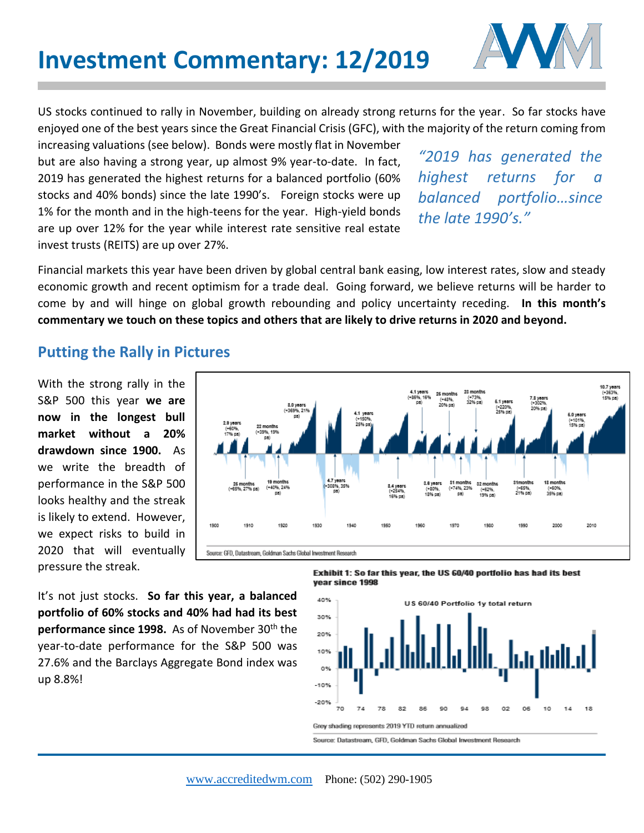

US stocks continued to rally in November, building on already strong returns for the year. So far stocks have enjoyed one of the best years since the Great Financial Crisis (GFC), with the majority of the return coming from

increasing valuations (see below). Bonds were mostly flat in November but are also having a strong year, up almost 9% year-to-date. In fact, 2019 has generated the highest returns for a balanced portfolio (60% stocks and 40% bonds) since the late 1990's. Foreign stocks were up 1% for the month and in the high-teens for the year. High-yield bonds are up over 12% for the year while interest rate sensitive real estate invest trusts (REITS) are up over 27%.

*"2019 has generated the highest returns for a balanced portfolio…since the late 1990's."* 

Financial markets this year have been driven by global central bank easing, low interest rates, slow and steady economic growth and recent optimism for a trade deal. Going forward, we believe returns will be harder to come by and will hinge on global growth rebounding and policy uncertainty receding. **In this month's commentary we touch on these topics and others that are likely to drive returns in 2020 and beyond.** 

**Putting the Rally in Pictures**

With the strong rally in the S&P 500 this year **we are now in the longest bull market without a 20% drawdown since 1900.** As we write the breadth of performance in the S&P 500 looks healthy and the streak is likely to extend. However, we expect risks to build in 2020 that will eventually pressure the streak.



It's not just stocks. **So far this year, a balanced portfolio of 60% stocks and 40% had had its best performance since 1998.** As of November 30<sup>th</sup> the year-to-date performance for the S&P 500 was 27.6% and the Barclays Aggregate Bond index was up 8.8%!

Exhibit 1: So far this year, the US 60/40 portfolio has had its best vear since 1998

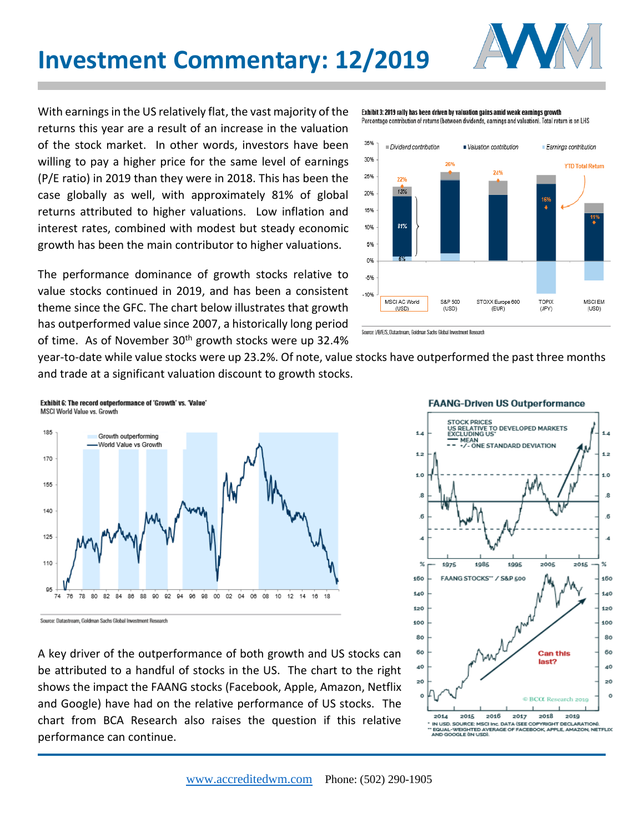



With earnings in the US relatively flat, the vast majority of the returns this year are a result of an increase in the valuation of the stock market. In other words, investors have been willing to pay a higher price for the same level of earnings (P/E ratio) in 2019 than they were in 2018. This has been the case globally as well, with approximately 81% of global returns attributed to higher valuations. Low inflation and interest rates, combined with modest but steady economic growth has been the main contributor to higher valuations.

The performance dominance of growth stocks relative to value stocks continued in 2019, and has been a consistent theme since the GFC. The chart below illustrates that growth has outperformed value since 2007, a historically long period of time. As of November 30<sup>th</sup> growth stocks were up 32.4%

Exhibit 3: 2019 rally has been driven by valuation gains amid weak earnings growth Percentage contribution of returns (between dividends, earnings and valuation). Total return is on LHS



Source: I/B/E/S. Datastream. Goldman Sachs Global Investment Research

year-to-date while value stocks were up 23.2%. Of note, value stocks have outperformed the past three months and trade at a significant valuation discount to growth stocks.



Source: Datastream, Goldman Sachs Global Investment Research

A key driver of the outperformance of both growth and US stocks can be attributed to a handful of stocks in the US. The chart to the right shows the impact the FAANG stocks (Facebook, Apple, Amazon, Netflix and Google) have had on the relative performance of US stocks. The chart from BCA Research also raises the question if this relative performance can continue.



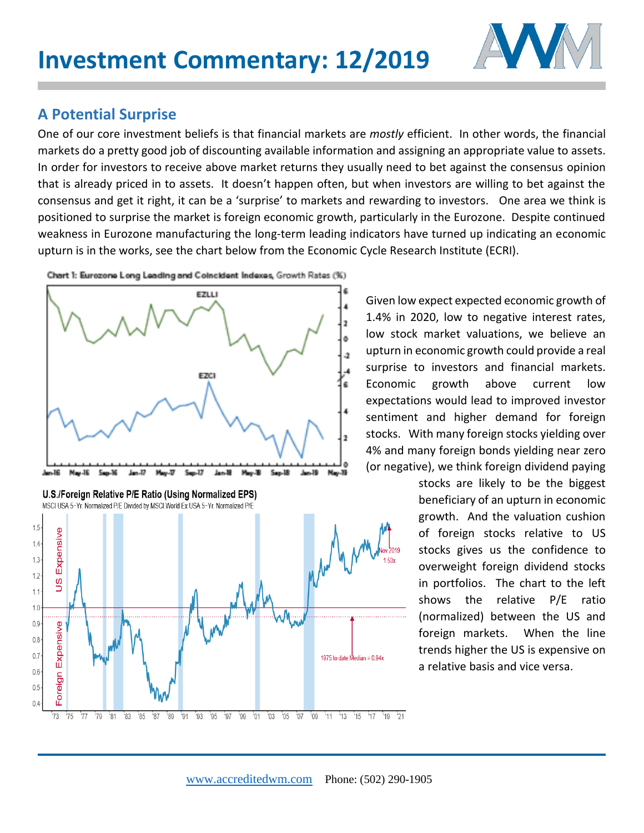

## **A Potential Surprise**

'73  $175$ '77  $'79$  $'81$  $^183$  $^{\prime}85$ '87  $'89'$  $"91"$ '93 '95

One of our core investment beliefs is that financial markets are *mostly* efficient. In other words, the financial markets do a pretty good job of discounting available information and assigning an appropriate value to assets. In order for investors to receive above market returns they usually need to bet against the consensus opinion that is already priced in to assets. It doesn't happen often, but when investors are willing to bet against the consensus and get it right, it can be a 'surprise' to markets and rewarding to investors. One area we think is positioned to surprise the market is foreign economic growth, particularly in the Eurozone. Despite continued weakness in Eurozone manufacturing the long-term leading indicators have turned up indicating an economic upturn is in the works, see the chart below from the Economic Cycle Research Institute (ECRI).



97 '99'

01 03 05 07

Chart 1: Eurozone Long Leading and Coincident Indexes, Growth Rates (%)

Given low expect expected economic growth of 1.4% in 2020, low to negative interest rates, low stock market valuations, we believe an upturn in economic growth could provide a real surprise to investors and financial markets. Economic growth above current low expectations would lead to improved investor sentiment and higher demand for foreign stocks. With many foreign stocks yielding over 4% and many foreign bonds yielding near zero (or negative), we think foreign dividend paying

> stocks are likely to be the biggest beneficiary of an upturn in economic growth. And the valuation cushion of foreign stocks relative to US stocks gives us the confidence to overweight foreign dividend stocks in portfolios. The chart to the left shows the relative P/E ratio (normalized) between the US and foreign markets. When the line trends higher the US is expensive on a relative basis and vice versa.

109 11 13 15 17 19 21